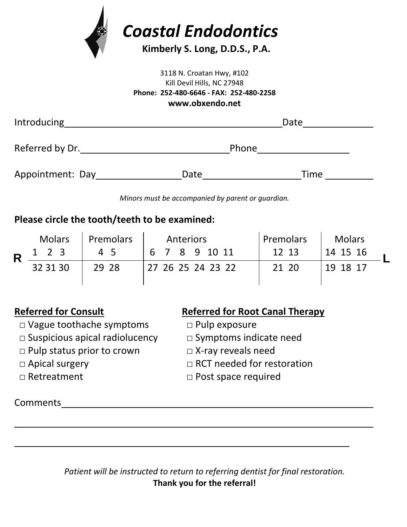

### 3118 N. Croatan Hwy, #102 Kill Devil Hills, NC 27948 **Phone: 252-480-6646 - FAX: 252-480-2258 www.obxendo.net**

| <b>Introducing</b> | Date  |      |  |  |
|--------------------|-------|------|--|--|
| Referred by Dr.    | Phone |      |  |  |
| Appointment: Day   | Date  | Time |  |  |

*Minors must be accompanied by parent or guardian.*

## **Please circle the tooth/teeth to be examined:**

|  | <b>Molars</b> | Premolars | Anteriors         | <b>Premolars</b> | <b>Molars</b> |
|--|---------------|-----------|-------------------|------------------|---------------|
|  | 1 2 3         | 45        | 6 7 8 9 10 11     | 12 13            | 14 15 16      |
|  | 32 31 30      | 29 28     | 27 26 25 24 23 22 | 21 20            | 19 18 17      |

- □ Vague toothache symptoms □ Pulp exposure
- □ Suspicious apical radiolucency □ Symptoms indicate need
- □ Pulp status prior to crown □ X-ray reveals need
- 
- 

# **Referred for Consult Referred for Root Canal Therapy**

- 
- 
- 
- □ Apical surgery □ □ RCT needed for restoration
- □ Retreatment □ Post space required

Comments

*Patient will be instructed to return to referring dentist for final restoration.* **Thank you for the referral!**